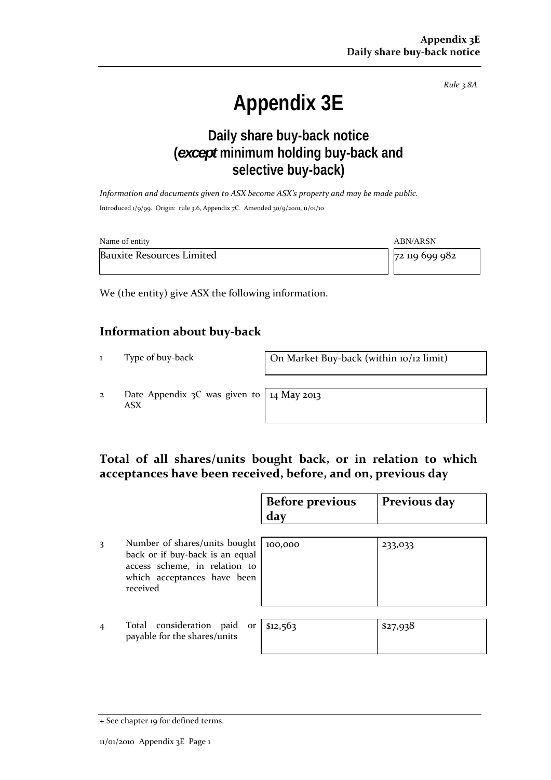*Rule 3.8A*

# **Appendix 3E**

# **Daily share buy-back notice (***except* **minimum holding buy-back and selective buy-back)**

*Information and documents given to ASX become ASX's property and may be made public.* Introduced 1/9/99. Origin: rule 3.6, Appendix 7C. Amended 30/9/2001, 11/01/10

| Name of entity                   | ABN/ARSN                  |  |
|----------------------------------|---------------------------|--|
| <b>Bauxite Resources Limited</b> | $\frac{1}{2}$ 119 699 982 |  |

We (the entity) give ASX the following information.

#### **Information about buy‐back**

1 Type of buy‐back **On Market Buy‐back (within 10/12 limit)** 

2 Date Appendix 3C was given to ASX

14 May 2013

### **Total of all shares/units bought back, or in relation to which acceptances have been received, before, and on, previous day**

|                |                                                                                                                                              | <b>Before previous</b><br>day | Previous day |
|----------------|----------------------------------------------------------------------------------------------------------------------------------------------|-------------------------------|--------------|
| 3              | Number of shares/units bought<br>back or if buy-back is an equal<br>access scheme, in relation to<br>which acceptances have been<br>received | 100,000                       | 233,033      |
| $\overline{4}$ | Total consideration<br>paid<br>or<br>payable for the shares/units                                                                            | \$12,563                      | \$27,938     |

<sup>+</sup> See chapter 19 for defined terms.